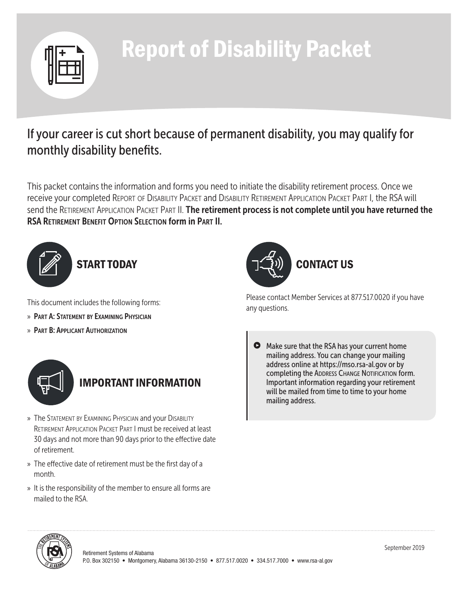

# Report of Disability Packet

# If your career is cut short because of permanent disability, you may qualify for monthly disability benefits.

This packet contains the information and forms you need to initiate the disability retirement process. Once we receive your completed Report of Disability Packet and Disability Retirement Application Packet Part I, the RSA will send the RETIREMENT APPLICATION PACKET PART II. The retirement process is not complete until you have returned the RSA Retirement Benefit Option Selection form in Part II.



This document includes the following forms:

- » Part A: Statement by Examining Physician
- » Part B: Applicant Authorization



# IMPORTANT INFORMATION

- » The STATEMENT BY EXAMINING PHYSICIAN and your DISABILITY Retirement Application Packet Part I must be received at least 30 days and not more than 90 days prior to the effective date of retirement.
- » The effective date of retirement must be the first day of a month.
- » It is the responsibility of the member to ensure all forms are mailed to the RSA.



Please contact Member Services at 877.517.0020 if you have any questions.

Make sure that the RSA has your current home mailing address. You can change your mailing address online at https://mso.rsa-al.gov or by completing the ADDRESS CHANGE NOTIFICATION form. Important information regarding your retirement will be mailed from time to time to your home mailing address.

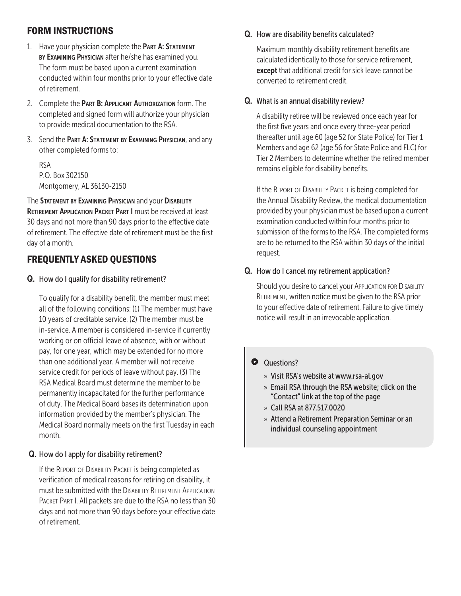## FORM INSTRUCTIONS

- 1. Have your physician complete the PART A: STATEMENT BY EXAMINING PHYSICIAN after he/she has examined you. The form must be based upon a current examination conducted within four months prior to your effective date of retirement.
- 2. Complete the PART B: APPLICANT AUTHORIZATION form. The completed and signed form will authorize your physician to provide medical documentation to the RSA.
- 3. Send the PART A: STATEMENT BY EXAMINING PHYSICIAN, and any other completed forms to:

RSA P.O. Box 302150 Montgomery, AL 36130-2150

The STATEMENT BY EXAMINING PHYSICIAN and your DISABILITY RETIREMENT APPLICATION PACKET PART I must be received at least 30 days and not more than 90 days prior to the effective date of retirement. The effective date of retirement must be the first day of a month.

## FREQUENTLY ASKED QUESTIONS

Q. How do I qualify for disability retirement?

 To qualify for a disability benefit, the member must meet all of the following conditions: (1) The member must have 10 years of creditable service. (2) The member must be in-service. A member is considered in-service if currently working or on official leave of absence, with or without pay, for one year, which may be extended for no more than one additional year. A member will not receive service credit for periods of leave without pay. (3) The RSA Medical Board must determine the member to be permanently incapacitated for the further performance of duty. The Medical Board bases its determination upon information provided by the member's physician. The Medical Board normally meets on the first Tuesday in each month.

#### Q. How do I apply for disability retirement?

If the REPORT OF DISABILITY PACKET is being completed as verification of medical reasons for retiring on disability, it must be submitted with the DISABILITY RETIREMENT APPLICATION PACKET PART I. All packets are due to the RSA no less than 30 days and not more than 90 days before your effective date of retirement.

#### Q. How are disability benefits calculated?

 Maximum monthly disability retirement benefits are calculated identically to those for service retirement, except that additional credit for sick leave cannot be converted to retirement credit.

#### Q. What is an annual disability review?

 A disability retiree will be reviewed once each year for the first five years and once every three-year period thereafter until age 60 (age 52 for State Police) for Tier 1 Members and age 62 (age 56 for State Police and FLC) for Tier 2 Members to determine whether the retired member remains eligible for disability benefits.

If the REPORT OF DISABILITY PACKET is being completed for the Annual Disability Review, the medical documentation provided by your physician must be based upon a current examination conducted within four months prior to submission of the forms to the RSA. The completed forms are to be returned to the RSA within 30 days of the initial request.

#### Q. How do I cancel my retirement application?

Should you desire to cancel your APPLICATION FOR DISABILITY RETIREMENT, written notice must be given to the RSA prior to your effective date of retirement. Failure to give timely notice will result in an irrevocable application.

#### **Questions?**

- » Visit RSA's website at www.rsa-al.gov
- » Email RSA through the RSA website; click on the "Contact" link at the top of the page
- » Call RSA at 877.517.0020
- » Attend a Retirement Preparation Seminar or an individual counseling appointment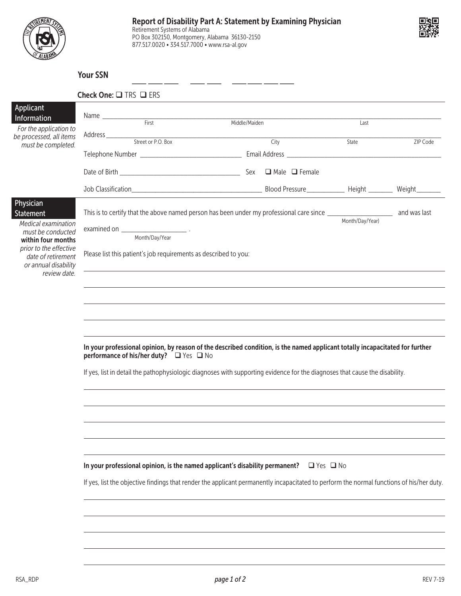



#### Your SSN

|                                                                                                            | Check One: $\square$ TRS $\square$ ERS                                                                                                                                                                                        |                     |                 |          |  |  |  |
|------------------------------------------------------------------------------------------------------------|-------------------------------------------------------------------------------------------------------------------------------------------------------------------------------------------------------------------------------|---------------------|-----------------|----------|--|--|--|
| <b>Applicant</b><br>Information<br>For the application to<br>be processed, all items<br>must be completed. | Name <del> <u>First</u></del>                                                                                                                                                                                                 | Middle/Maiden       | Last            |          |  |  |  |
|                                                                                                            | Address <u>City Street or P.O. Box</u>                                                                                                                                                                                        |                     | State           | ZIP Code |  |  |  |
|                                                                                                            |                                                                                                                                                                                                                               |                     |                 |          |  |  |  |
|                                                                                                            |                                                                                                                                                                                                                               | Sex □ Male □ Female |                 |          |  |  |  |
|                                                                                                            |                                                                                                                                                                                                                               |                     |                 |          |  |  |  |
|                                                                                                            |                                                                                                                                                                                                                               |                     |                 |          |  |  |  |
| Physician<br>Statement                                                                                     |                                                                                                                                                                                                                               |                     |                 |          |  |  |  |
| Medical examination<br>must be conducted                                                                   |                                                                                                                                                                                                                               |                     | Month/Day/Year) |          |  |  |  |
| within four months                                                                                         | Month/Day/Year                                                                                                                                                                                                                |                     |                 |          |  |  |  |
| prior to the effective<br>date of retirement                                                               | Please list this patient's job requirements as described to you:                                                                                                                                                              |                     |                 |          |  |  |  |
| or annual disability<br>review date.                                                                       | the control of the control of the control of the control of the control of the control of the control of the control of the control of the control of the control of the control of the control of the control of the control |                     |                 |          |  |  |  |
|                                                                                                            |                                                                                                                                                                                                                               |                     |                 |          |  |  |  |
|                                                                                                            |                                                                                                                                                                                                                               |                     |                 |          |  |  |  |
|                                                                                                            |                                                                                                                                                                                                                               |                     |                 |          |  |  |  |
|                                                                                                            |                                                                                                                                                                                                                               |                     |                 |          |  |  |  |
|                                                                                                            | In your professional opinion, by reason of the described condition, is the named applicant totally incapacitated for further<br>performance of his/her duty?<br><u>D</u> Yes $\Box$ No                                        |                     |                 |          |  |  |  |
|                                                                                                            | If yes, list in detail the pathophysiologic diagnoses with supporting evidence for the diagnoses that cause the disability.                                                                                                   |                     |                 |          |  |  |  |
|                                                                                                            |                                                                                                                                                                                                                               |                     |                 |          |  |  |  |
|                                                                                                            |                                                                                                                                                                                                                               |                     |                 |          |  |  |  |
|                                                                                                            |                                                                                                                                                                                                                               |                     |                 |          |  |  |  |
|                                                                                                            |                                                                                                                                                                                                                               |                     |                 |          |  |  |  |
|                                                                                                            |                                                                                                                                                                                                                               |                     |                 |          |  |  |  |
|                                                                                                            |                                                                                                                                                                                                                               |                     |                 |          |  |  |  |
|                                                                                                            | In your professional opinion, is the named applicant's disability permanent?<br>$\Box$ Yes $\Box$ No                                                                                                                          |                     |                 |          |  |  |  |
|                                                                                                            | If yes, list the objective findings that render the applicant permanently incapacitated to perform the normal functions of his/her duty.                                                                                      |                     |                 |          |  |  |  |
|                                                                                                            |                                                                                                                                                                                                                               |                     |                 |          |  |  |  |
|                                                                                                            |                                                                                                                                                                                                                               |                     |                 |          |  |  |  |
|                                                                                                            |                                                                                                                                                                                                                               |                     |                 |          |  |  |  |
|                                                                                                            |                                                                                                                                                                                                                               |                     |                 |          |  |  |  |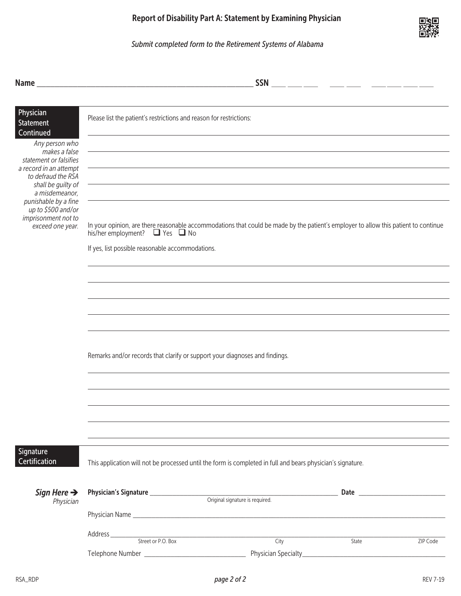### *Submit completed form to the Retirement Systems of Alabama*

|                                                                        | <b>SSN</b><br><u> 1999 - John Harry Barn, mars et al. (</u>                                                                                                                     |  |  |  |  |
|------------------------------------------------------------------------|---------------------------------------------------------------------------------------------------------------------------------------------------------------------------------|--|--|--|--|
| Physician                                                              | Please list the patient's restrictions and reason for restrictions:                                                                                                             |  |  |  |  |
| <b>Statement</b><br>Continued                                          |                                                                                                                                                                                 |  |  |  |  |
| Any person who<br>makes a false                                        |                                                                                                                                                                                 |  |  |  |  |
| statement or falsifies<br>a record in an attempt<br>to defraud the RSA |                                                                                                                                                                                 |  |  |  |  |
| shall be guilty of<br>a misdemeanor,                                   |                                                                                                                                                                                 |  |  |  |  |
| punishable by a fine<br>up to \$500 and/or                             |                                                                                                                                                                                 |  |  |  |  |
| imprisonment not to<br>exceed one year.                                | In your opinion, are there reasonable accommodations that could be made by the patient's employer to allow this patient to continue<br>his/her employment? $\Box$ Yes $\Box$ No |  |  |  |  |
|                                                                        | If yes, list possible reasonable accommodations.                                                                                                                                |  |  |  |  |
|                                                                        |                                                                                                                                                                                 |  |  |  |  |
|                                                                        |                                                                                                                                                                                 |  |  |  |  |
|                                                                        |                                                                                                                                                                                 |  |  |  |  |
|                                                                        |                                                                                                                                                                                 |  |  |  |  |
|                                                                        | Remarks and/or records that clarify or support your diagnoses and findings.                                                                                                     |  |  |  |  |
|                                                                        |                                                                                                                                                                                 |  |  |  |  |
|                                                                        |                                                                                                                                                                                 |  |  |  |  |
|                                                                        |                                                                                                                                                                                 |  |  |  |  |
|                                                                        |                                                                                                                                                                                 |  |  |  |  |
| Signature                                                              |                                                                                                                                                                                 |  |  |  |  |
| Certification                                                          | This application will not be processed until the form is completed in full and bears physician's signature.                                                                     |  |  |  |  |
| Sign Here $\rightarrow$                                                |                                                                                                                                                                                 |  |  |  |  |
| Physician                                                              | Original signature is required.                                                                                                                                                 |  |  |  |  |
|                                                                        |                                                                                                                                                                                 |  |  |  |  |
|                                                                        | City<br>ZIP Code<br>State                                                                                                                                                       |  |  |  |  |
|                                                                        |                                                                                                                                                                                 |  |  |  |  |